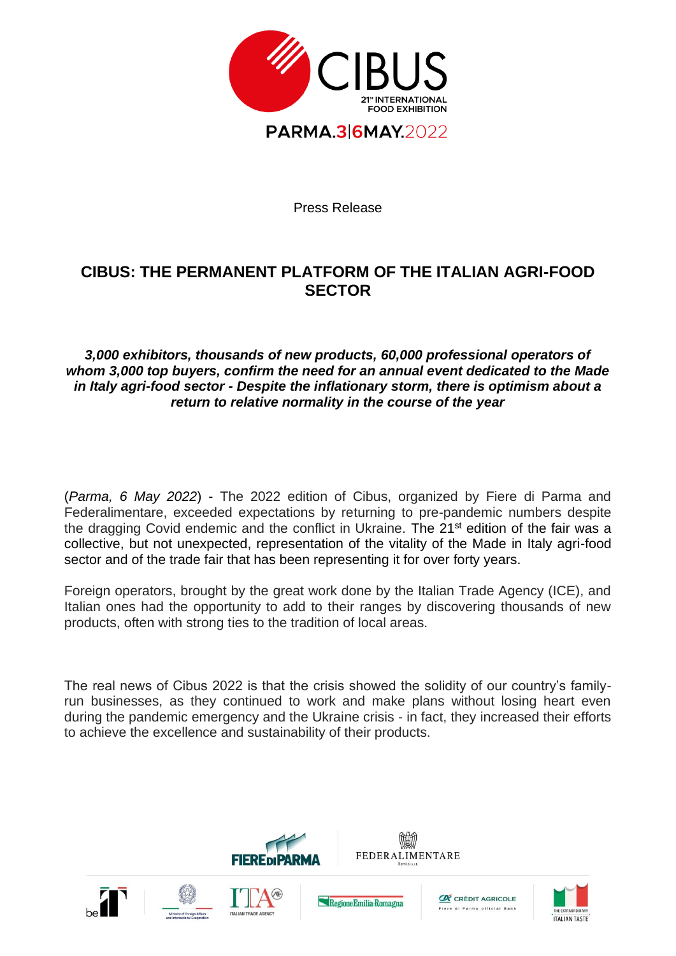

Press Release

## **CIBUS: THE PERMANENT PLATFORM OF THE ITALIAN AGRI-FOOD SECTOR**

*3,000 exhibitors, thousands of new products, 60,000 professional operators of whom 3,000 top buyers, confirm the need for an annual event dedicated to the Made in Italy agri-food sector - Despite the inflationary storm, there is optimism about a return to relative normality in the course of the year*

(*Parma, 6 May 2022*) - The 2022 edition of Cibus, organized by Fiere di Parma and Federalimentare, exceeded expectations by returning to pre-pandemic numbers despite the dragging Covid endemic and the conflict in Ukraine. The 21<sup>st</sup> edition of the fair was a collective, but not unexpected, representation of the vitality of the Made in Italy agri-food sector and of the trade fair that has been representing it for over forty years.

Foreign operators, brought by the great work done by the Italian Trade Agency (ICE), and Italian ones had the opportunity to add to their ranges by discovering thousands of new products, often with strong ties to the tradition of local areas.

The real news of Cibus 2022 is that the crisis showed the solidity of our country's familyrun businesses, as they continued to work and make plans without losing heart even during the pandemic emergency and the Ukraine crisis - in fact, they increased their efforts to achieve the excellence and sustainability of their products.



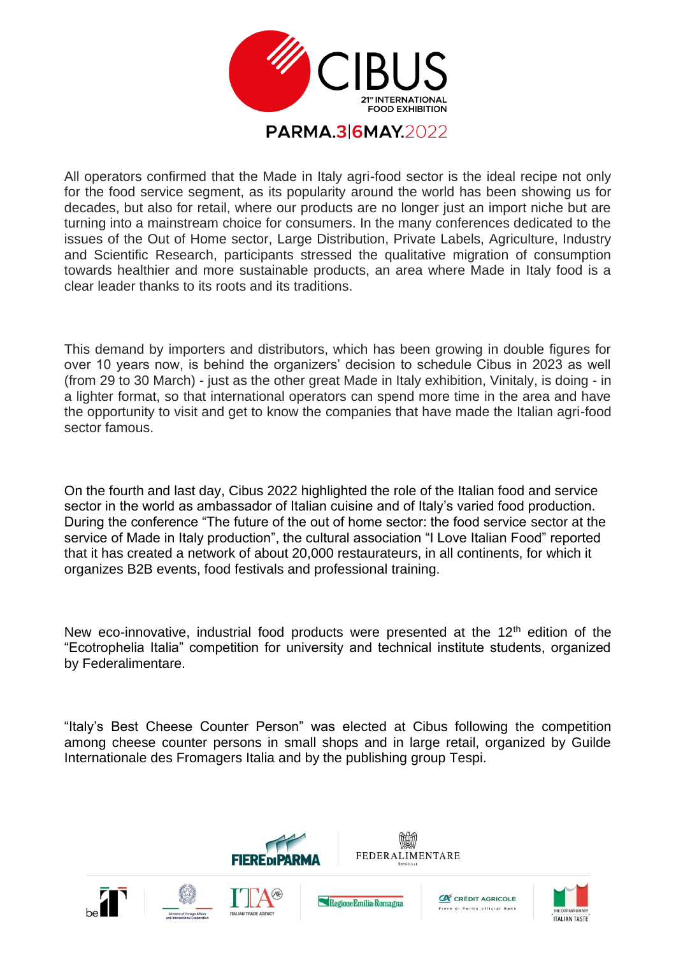

All operators confirmed that the Made in Italy agri-food sector is the ideal recipe not only for the food service segment, as its popularity around the world has been showing us for decades, but also for retail, where our products are no longer just an import niche but are turning into a mainstream choice for consumers. In the many conferences dedicated to the issues of the Out of Home sector, Large Distribution, Private Labels, Agriculture, Industry and Scientific Research, participants stressed the qualitative migration of consumption towards healthier and more sustainable products, an area where Made in Italy food is a clear leader thanks to its roots and its traditions.

This demand by importers and distributors, which has been growing in double figures for over 10 years now, is behind the organizers' decision to schedule Cibus in 2023 as well (from 29 to 30 March) - just as the other great Made in Italy exhibition, Vinitaly, is doing - in a lighter format, so that international operators can spend more time in the area and have the opportunity to visit and get to know the companies that have made the Italian agri-food sector famous.

On the fourth and last day, Cibus 2022 highlighted the role of the Italian food and service sector in the world as ambassador of Italian cuisine and of Italy's varied food production. During the conference "The future of the out of home sector: the food service sector at the service of Made in Italy production", the cultural association "I Love Italian Food" reported that it has created a network of about 20,000 restaurateurs, in all continents, for which it organizes B2B events, food festivals and professional training.

New eco-innovative, industrial food products were presented at the  $12<sup>th</sup>$  edition of the "Ecotrophelia Italia" competition for university and technical institute students, organized by Federalimentare.

"Italy's Best Cheese Counter Person" was elected at Cibus following the competition among cheese counter persons in small shops and in large retail, organized by Guilde Internationale des Fromagers Italia and by the publishing group Tespi.